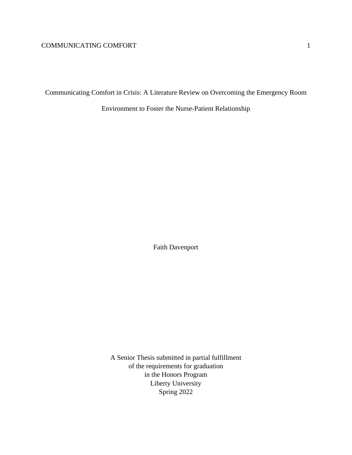Communicating Comfort in Crisis: A Literature Review on Overcoming the Emergency Room

Environment to Foster the Nurse-Patient Relationship

Faith Davenport

A Senior Thesis submitted in partial fulfillment of the requirements for graduation in the Honors Program Liberty University Spring 2022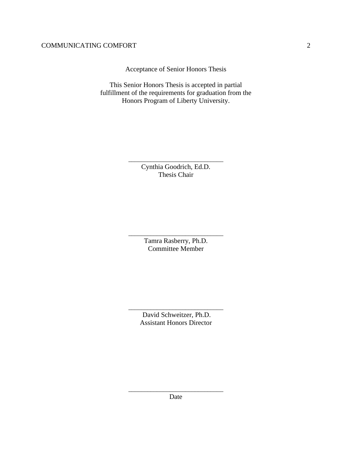Acceptance of Senior Honors Thesis

This Senior Honors Thesis is accepted in partial fulfillment of the requirements for graduation from the Honors Program of Liberty University.

> Cynthia Goodrich, Ed.D. Thesis Chair

\_\_\_\_\_\_\_\_\_\_\_\_\_\_\_\_\_\_\_\_\_\_\_\_\_\_\_\_\_\_

Tamra Rasberry, Ph.D. Committee Member

\_\_\_\_\_\_\_\_\_\_\_\_\_\_\_\_\_\_\_\_\_\_\_\_\_\_\_\_\_\_

\_\_\_\_\_\_\_\_\_\_\_\_\_\_\_\_\_\_\_\_\_\_\_\_\_\_\_\_\_\_ David Schweitzer, Ph.D. Assistant Honors Director

\_\_\_\_\_\_\_\_\_\_\_\_\_\_\_\_\_\_\_\_\_\_\_\_\_\_\_\_\_\_ Date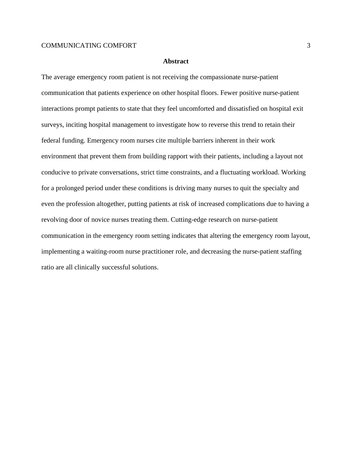#### **Abstract**

The average emergency room patient is not receiving the compassionate nurse-patient communication that patients experience on other hospital floors. Fewer positive nurse-patient interactions prompt patients to state that they feel uncomforted and dissatisfied on hospital exit surveys, inciting hospital management to investigate how to reverse this trend to retain their federal funding. Emergency room nurses cite multiple barriers inherent in their work environment that prevent them from building rapport with their patients, including a layout not conducive to private conversations, strict time constraints, and a fluctuating workload. Working for a prolonged period under these conditions is driving many nurses to quit the specialty and even the profession altogether, putting patients at risk of increased complications due to having a revolving door of novice nurses treating them. Cutting-edge research on nurse-patient communication in the emergency room setting indicates that altering the emergency room layout, implementing a waiting-room nurse practitioner role, and decreasing the nurse-patient staffing ratio are all clinically successful solutions.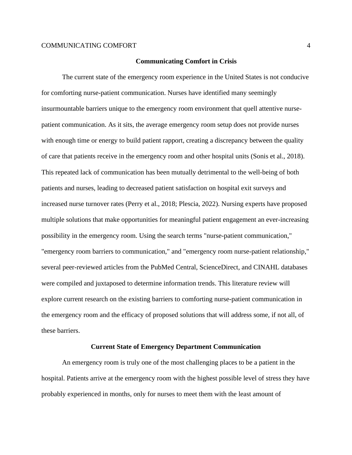#### **Communicating Comfort in Crisis**

The current state of the emergency room experience in the United States is not conducive for comforting nurse-patient communication. Nurses have identified many seemingly insurmountable barriers unique to the emergency room environment that quell attentive nursepatient communication. As it sits, the average emergency room setup does not provide nurses with enough time or energy to build patient rapport, creating a discrepancy between the quality of care that patients receive in the emergency room and other hospital units (Sonis et al., 2018). This repeated lack of communication has been mutually detrimental to the well-being of both patients and nurses, leading to decreased patient satisfaction on hospital exit surveys and increased nurse turnover rates (Perry et al., 2018; Plescia, 2022). Nursing experts have proposed multiple solutions that make opportunities for meaningful patient engagement an ever-increasing possibility in the emergency room. Using the search terms "nurse-patient communication," "emergency room barriers to communication," and "emergency room nurse-patient relationship," several peer-reviewed articles from the PubMed Central, ScienceDirect, and CINAHL databases were compiled and juxtaposed to determine information trends. This literature review will explore current research on the existing barriers to comforting nurse-patient communication in the emergency room and the efficacy of proposed solutions that will address some, if not all, of these barriers.

### **Current State of Emergency Department Communication**

An emergency room is truly one of the most challenging places to be a patient in the hospital. Patients arrive at the emergency room with the highest possible level of stress they have probably experienced in months, only for nurses to meet them with the least amount of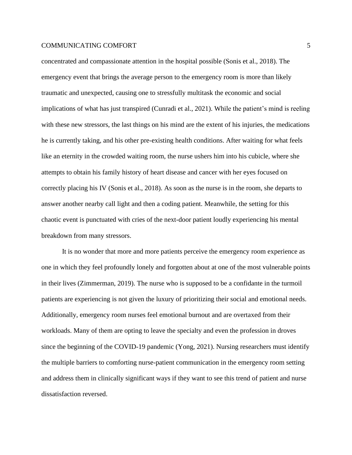concentrated and compassionate attention in the hospital possible (Sonis et al., 2018). The emergency event that brings the average person to the emergency room is more than likely traumatic and unexpected, causing one to stressfully multitask the economic and social implications of what has just transpired (Cunradi et al., 2021). While the patient's mind is reeling with these new stressors, the last things on his mind are the extent of his injuries, the medications he is currently taking, and his other pre-existing health conditions. After waiting for what feels like an eternity in the crowded waiting room, the nurse ushers him into his cubicle, where she attempts to obtain his family history of heart disease and cancer with her eyes focused on correctly placing his IV (Sonis et al., 2018). As soon as the nurse is in the room, she departs to answer another nearby call light and then a coding patient. Meanwhile, the setting for this chaotic event is punctuated with cries of the next-door patient loudly experiencing his mental breakdown from many stressors.

It is no wonder that more and more patients perceive the emergency room experience as one in which they feel profoundly lonely and forgotten about at one of the most vulnerable points in their lives (Zimmerman, 2019). The nurse who is supposed to be a confidante in the turmoil patients are experiencing is not given the luxury of prioritizing their social and emotional needs. Additionally, emergency room nurses feel emotional burnout and are overtaxed from their workloads. Many of them are opting to leave the specialty and even the profession in droves since the beginning of the COVID-19 pandemic (Yong, 2021). Nursing researchers must identify the multiple barriers to comforting nurse-patient communication in the emergency room setting and address them in clinically significant ways if they want to see this trend of patient and nurse dissatisfaction reversed.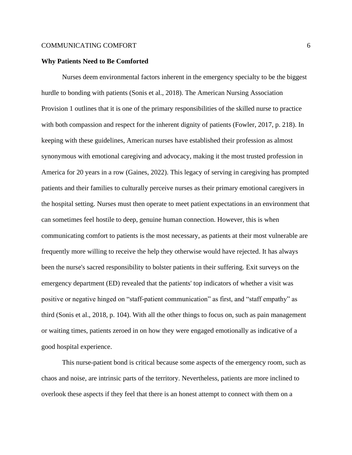#### **Why Patients Need to Be Comforted**

Nurses deem environmental factors inherent in the emergency specialty to be the biggest hurdle to bonding with patients (Sonis et al., 2018). The American Nursing Association Provision 1 outlines that it is one of the primary responsibilities of the skilled nurse to practice with both compassion and respect for the inherent dignity of patients (Fowler, 2017, p. 218). In keeping with these guidelines, American nurses have established their profession as almost synonymous with emotional caregiving and advocacy, making it the most trusted profession in America for 20 years in a row (Gaines, 2022). This legacy of serving in caregiving has prompted patients and their families to culturally perceive nurses as their primary emotional caregivers in the hospital setting. Nurses must then operate to meet patient expectations in an environment that can sometimes feel hostile to deep, genuine human connection. However, this is when communicating comfort to patients is the most necessary, as patients at their most vulnerable are frequently more willing to receive the help they otherwise would have rejected. It has always been the nurse's sacred responsibility to bolster patients in their suffering. Exit surveys on the emergency department (ED) revealed that the patients' top indicators of whether a visit was positive or negative hinged on "staff-patient communication" as first, and "staff empathy" as third (Sonis et al., 2018, p. 104). With all the other things to focus on, such as pain management or waiting times, patients zeroed in on how they were engaged emotionally as indicative of a good hospital experience.

This nurse-patient bond is critical because some aspects of the emergency room, such as chaos and noise, are intrinsic parts of the territory. Nevertheless, patients are more inclined to overlook these aspects if they feel that there is an honest attempt to connect with them on a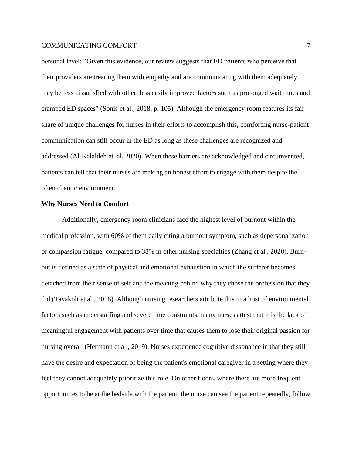personal level: "Given this evidence, our review suggests that ED patients who perceive that their providers are treating them with empathy and are communicating with them adequately may be less dissatisfied with other, less easily improved factors such as prolonged wait times and cramped ED spaces" (Sonis et al., 2018, p. 105). Although the emergency room features its fair share of unique challenges for nurses in their efforts to accomplish this, comforting nurse-patient communication can still occur in the ED as long as these challenges are recognized and addressed (Al-Kalaldeh et. al, 2020). When these barriers are acknowledged and circumvented, patients can tell that their nurses are making an honest effort to engage with them despite the often chaotic environment.

## **Why Nurses Need to Comfort**

Additionally, emergency room clinicians face the highest level of burnout within the medical profession, with 60% of them daily citing a burnout symptom, such as depersonalization or compassion fatigue, compared to 38% in other nursing specialties (Zhang et al., 2020). Burnout is defined as a state of physical and emotional exhaustion in which the sufferer becomes detached from their sense of self and the meaning behind why they chose the profession that they did (Tavakoli et al., 2018). Although nursing researchers attribute this to a host of environmental factors such as understaffing and severe time constraints, many nurses attest that it is the lack of meaningful engagement with patients over time that causes them to lose their original passion for nursing overall (Hermann et al., 2019). Nurses experience cognitive dissonance in that they still have the desire and expectation of being the patient's emotional caregiver in a setting where they feel they cannot adequately prioritize this role. On other floors, where there are more frequent opportunities to be at the bedside with the patient, the nurse can see the patient repeatedly, follow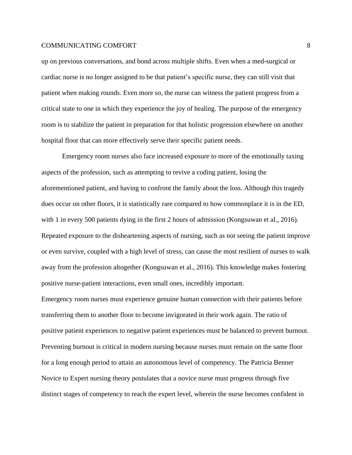up on previous conversations, and bond across multiple shifts. Even when a med-surgical or cardiac nurse is no longer assigned to be that patient's specific nurse, they can still visit that patient when making rounds. Even more so, the nurse can witness the patient progress from a critical state to one in which they experience the joy of healing. The purpose of the emergency room is to stabilize the patient in preparation for that holistic progression elsewhere on another hospital floor that can more effectively serve their specific patient needs.

Emergency room nurses also face increased exposure to more of the emotionally taxing aspects of the profession, such as attempting to revive a coding patient, losing the aforementioned patient, and having to confront the family about the loss. Although this tragedy does occur on other floors, it is statistically rare compared to how commonplace it is in the ED, with 1 in every 500 patients dying in the first 2 hours of admission (Kongsuwan et al., 2016). Repeated exposure to the disheartening aspects of nursing, such as not seeing the patient improve or even survive, coupled with a high level of stress, can cause the most resilient of nurses to walk away from the profession altogether (Kongsuwan et al., 2016). This knowledge makes fostering positive nurse-patient interactions, even small ones, incredibly important.

Emergency room nurses must experience genuine human connection with their patients before transferring them to another floor to become invigorated in their work again. The ratio of positive patient experiences to negative patient experiences must be balanced to prevent burnout. Preventing burnout is critical in modern nursing because nurses must remain on the same floor for a long enough period to attain an autonomous level of competency. The Patricia Benner Novice to Expert nursing theory postulates that a novice nurse must progress through five distinct stages of competency to reach the expert level, wherein the nurse becomes confident in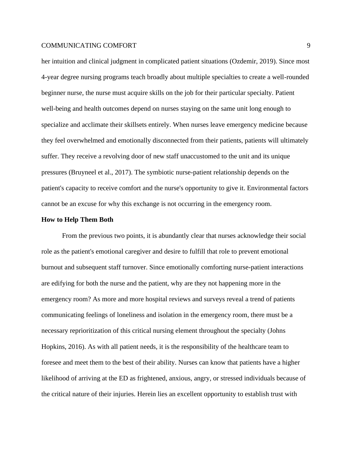her intuition and clinical judgment in complicated patient situations (Ozdemir, 2019). Since most 4-year degree nursing programs teach broadly about multiple specialties to create a well-rounded beginner nurse, the nurse must acquire skills on the job for their particular specialty. Patient well-being and health outcomes depend on nurses staying on the same unit long enough to specialize and acclimate their skillsets entirely. When nurses leave emergency medicine because they feel overwhelmed and emotionally disconnected from their patients, patients will ultimately suffer. They receive a revolving door of new staff unaccustomed to the unit and its unique pressures (Bruyneel et al., 2017). The symbiotic nurse-patient relationship depends on the patient's capacity to receive comfort and the nurse's opportunity to give it. Environmental factors cannot be an excuse for why this exchange is not occurring in the emergency room.

#### **How to Help Them Both**

From the previous two points, it is abundantly clear that nurses acknowledge their social role as the patient's emotional caregiver and desire to fulfill that role to prevent emotional burnout and subsequent staff turnover. Since emotionally comforting nurse-patient interactions are edifying for both the nurse and the patient, why are they not happening more in the emergency room? As more and more hospital reviews and surveys reveal a trend of patients communicating feelings of loneliness and isolation in the emergency room, there must be a necessary reprioritization of this critical nursing element throughout the specialty (Johns Hopkins, 2016). As with all patient needs, it is the responsibility of the healthcare team to foresee and meet them to the best of their ability. Nurses can know that patients have a higher likelihood of arriving at the ED as frightened, anxious, angry, or stressed individuals because of the critical nature of their injuries. Herein lies an excellent opportunity to establish trust with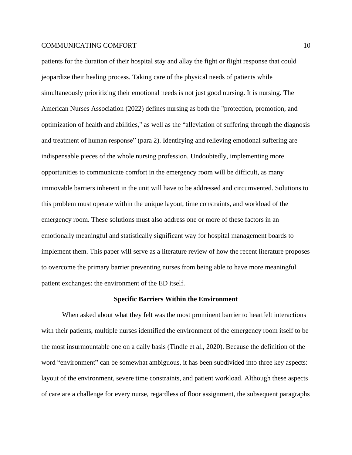patients for the duration of their hospital stay and allay the fight or flight response that could jeopardize their healing process. Taking care of the physical needs of patients while simultaneously prioritizing their emotional needs is not just good nursing. It is nursing. The American Nurses Association (2022) defines nursing as both the "protection, promotion, and optimization of health and abilities," as well as the "alleviation of suffering through the diagnosis and treatment of human response" (para 2). Identifying and relieving emotional suffering are indispensable pieces of the whole nursing profession. Undoubtedly, implementing more opportunities to communicate comfort in the emergency room will be difficult, as many immovable barriers inherent in the unit will have to be addressed and circumvented. Solutions to this problem must operate within the unique layout, time constraints, and workload of the emergency room. These solutions must also address one or more of these factors in an emotionally meaningful and statistically significant way for hospital management boards to implement them. This paper will serve as a literature review of how the recent literature proposes to overcome the primary barrier preventing nurses from being able to have more meaningful patient exchanges: the environment of the ED itself.

#### **Specific Barriers Within the Environment**

When asked about what they felt was the most prominent barrier to heartfelt interactions with their patients, multiple nurses identified the environment of the emergency room itself to be the most insurmountable one on a daily basis (Tindle et al., 2020). Because the definition of the word "environment" can be somewhat ambiguous, it has been subdivided into three key aspects: layout of the environment, severe time constraints, and patient workload. Although these aspects of care are a challenge for every nurse, regardless of floor assignment, the subsequent paragraphs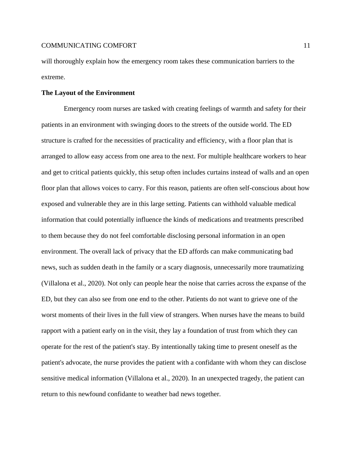will thoroughly explain how the emergency room takes these communication barriers to the extreme.

### **The Layout of the Environment**

Emergency room nurses are tasked with creating feelings of warmth and safety for their patients in an environment with swinging doors to the streets of the outside world. The ED structure is crafted for the necessities of practicality and efficiency, with a floor plan that is arranged to allow easy access from one area to the next. For multiple healthcare workers to hear and get to critical patients quickly, this setup often includes curtains instead of walls and an open floor plan that allows voices to carry. For this reason, patients are often self-conscious about how exposed and vulnerable they are in this large setting. Patients can withhold valuable medical information that could potentially influence the kinds of medications and treatments prescribed to them because they do not feel comfortable disclosing personal information in an open environment. The overall lack of privacy that the ED affords can make communicating bad news, such as sudden death in the family or a scary diagnosis, unnecessarily more traumatizing (Villalona et al., 2020). Not only can people hear the noise that carries across the expanse of the ED, but they can also see from one end to the other. Patients do not want to grieve one of the worst moments of their lives in the full view of strangers. When nurses have the means to build rapport with a patient early on in the visit, they lay a foundation of trust from which they can operate for the rest of the patient's stay. By intentionally taking time to present oneself as the patient's advocate, the nurse provides the patient with a confidante with whom they can disclose sensitive medical information (Villalona et al., 2020). In an unexpected tragedy, the patient can return to this newfound confidante to weather bad news together.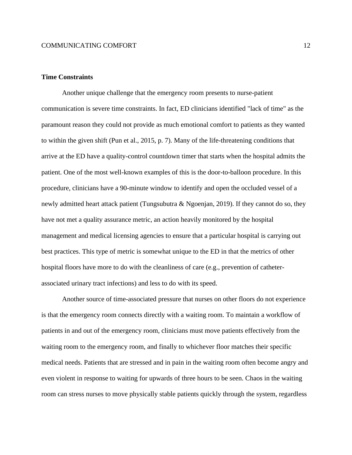# **Time Constraints**

Another unique challenge that the emergency room presents to nurse-patient communication is severe time constraints. In fact, ED clinicians identified "lack of time" as the paramount reason they could not provide as much emotional comfort to patients as they wanted to within the given shift (Pun et al., 2015, p. 7). Many of the life-threatening conditions that arrive at the ED have a quality-control countdown timer that starts when the hospital admits the patient. One of the most well-known examples of this is the door-to-balloon procedure. In this procedure, clinicians have a 90-minute window to identify and open the occluded vessel of a newly admitted heart attack patient (Tungsubutra & Ngoenjan, 2019). If they cannot do so, they have not met a quality assurance metric, an action heavily monitored by the hospital management and medical licensing agencies to ensure that a particular hospital is carrying out best practices. This type of metric is somewhat unique to the ED in that the metrics of other hospital floors have more to do with the cleanliness of care (e.g., prevention of catheterassociated urinary tract infections) and less to do with its speed.

Another source of time-associated pressure that nurses on other floors do not experience is that the emergency room connects directly with a waiting room. To maintain a workflow of patients in and out of the emergency room, clinicians must move patients effectively from the waiting room to the emergency room, and finally to whichever floor matches their specific medical needs. Patients that are stressed and in pain in the waiting room often become angry and even violent in response to waiting for upwards of three hours to be seen. Chaos in the waiting room can stress nurses to move physically stable patients quickly through the system, regardless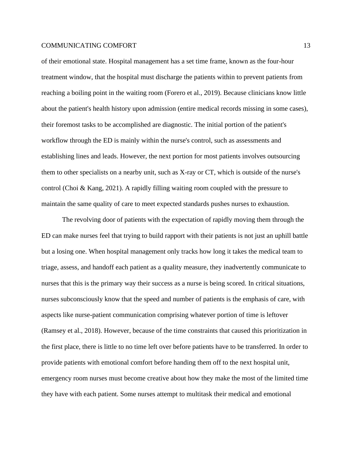of their emotional state. Hospital management has a set time frame, known as the four-hour treatment window, that the hospital must discharge the patients within to prevent patients from reaching a boiling point in the waiting room (Forero et al., 2019). Because clinicians know little about the patient's health history upon admission (entire medical records missing in some cases), their foremost tasks to be accomplished are diagnostic. The initial portion of the patient's workflow through the ED is mainly within the nurse's control, such as assessments and establishing lines and leads. However, the next portion for most patients involves outsourcing them to other specialists on a nearby unit, such as X-ray or CT, which is outside of the nurse's control (Choi & Kang, 2021). A rapidly filling waiting room coupled with the pressure to maintain the same quality of care to meet expected standards pushes nurses to exhaustion.

The revolving door of patients with the expectation of rapidly moving them through the ED can make nurses feel that trying to build rapport with their patients is not just an uphill battle but a losing one. When hospital management only tracks how long it takes the medical team to triage, assess, and handoff each patient as a quality measure, they inadvertently communicate to nurses that this is the primary way their success as a nurse is being scored. In critical situations, nurses subconsciously know that the speed and number of patients is the emphasis of care, with aspects like nurse-patient communication comprising whatever portion of time is leftover (Ramsey et al., 2018). However, because of the time constraints that caused this prioritization in the first place, there is little to no time left over before patients have to be transferred. In order to provide patients with emotional comfort before handing them off to the next hospital unit, emergency room nurses must become creative about how they make the most of the limited time they have with each patient. Some nurses attempt to multitask their medical and emotional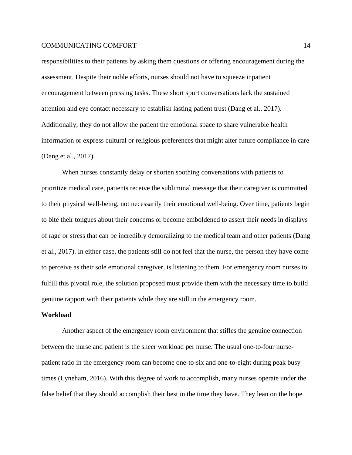responsibilities to their patients by asking them questions or offering encouragement during the assessment. Despite their noble efforts, nurses should not have to squeeze inpatient encouragement between pressing tasks. These short spurt conversations lack the sustained attention and eye contact necessary to establish lasting patient trust (Dang et al., 2017). Additionally, they do not allow the patient the emotional space to share vulnerable health information or express cultural or religious preferences that might alter future compliance in care (Dang et al., 2017).

When nurses constantly delay or shorten soothing conversations with patients to prioritize medical care, patients receive the subliminal message that their caregiver is committed to their physical well-being, not necessarily their emotional well-being. Over time, patients begin to bite their tongues about their concerns or become emboldened to assert their needs in displays of rage or stress that can be incredibly demoralizing to the medical team and other patients (Dang et al., 2017). In either case, the patients still do not feel that the nurse, the person they have come to perceive as their sole emotional caregiver, is listening to them. For emergency room nurses to fulfill this pivotal role, the solution proposed must provide them with the necessary time to build genuine rapport with their patients while they are still in the emergency room.

#### **Workload**

Another aspect of the emergency room environment that stifles the genuine connection between the nurse and patient is the sheer workload per nurse. The usual one-to-four nursepatient ratio in the emergency room can become one-to-six and one-to-eight during peak busy times (Lyneham, 2016). With this degree of work to accomplish, many nurses operate under the false belief that they should accomplish their best in the time they have. They lean on the hope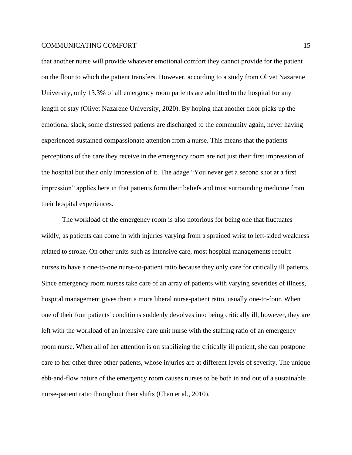that another nurse will provide whatever emotional comfort they cannot provide for the patient on the floor to which the patient transfers. However, according to a study from Olivet Nazarene University, only 13.3% of all emergency room patients are admitted to the hospital for any length of stay (Olivet Nazarene University, 2020). By hoping that another floor picks up the emotional slack, some distressed patients are discharged to the community again, never having experienced sustained compassionate attention from a nurse. This means that the patients' perceptions of the care they receive in the emergency room are not just their first impression of the hospital but their only impression of it. The adage "You never get a second shot at a first impression" applies here in that patients form their beliefs and trust surrounding medicine from their hospital experiences.

The workload of the emergency room is also notorious for being one that fluctuates wildly, as patients can come in with injuries varying from a sprained wrist to left-sided weakness related to stroke. On other units such as intensive care, most hospital managements require nurses to have a one-to-one nurse-to-patient ratio because they only care for critically ill patients. Since emergency room nurses take care of an array of patients with varying severities of illness, hospital management gives them a more liberal nurse-patient ratio, usually one-to-four. When one of their four patients' conditions suddenly devolves into being critically ill, however, they are left with the workload of an intensive care unit nurse with the staffing ratio of an emergency room nurse. When all of her attention is on stabilizing the critically ill patient, she can postpone care to her other three other patients, whose injuries are at different levels of severity. The unique ebb-and-flow nature of the emergency room causes nurses to be both in and out of a sustainable nurse-patient ratio throughout their shifts (Chan et al., 2010).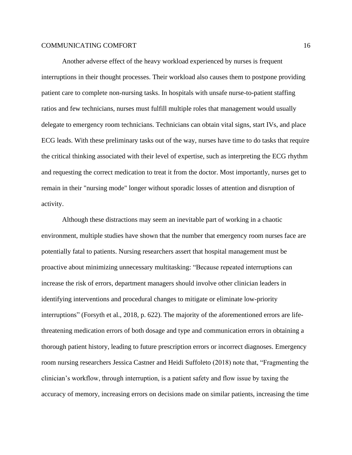Another adverse effect of the heavy workload experienced by nurses is frequent interruptions in their thought processes. Their workload also causes them to postpone providing patient care to complete non-nursing tasks. In hospitals with unsafe nurse-to-patient staffing ratios and few technicians, nurses must fulfill multiple roles that management would usually delegate to emergency room technicians. Technicians can obtain vital signs, start IVs, and place ECG leads. With these preliminary tasks out of the way, nurses have time to do tasks that require the critical thinking associated with their level of expertise, such as interpreting the ECG rhythm and requesting the correct medication to treat it from the doctor. Most importantly, nurses get to remain in their "nursing mode" longer without sporadic losses of attention and disruption of activity.

Although these distractions may seem an inevitable part of working in a chaotic environment, multiple studies have shown that the number that emergency room nurses face are potentially fatal to patients. Nursing researchers assert that hospital management must be proactive about minimizing unnecessary multitasking: "Because repeated interruptions can increase the risk of errors, department managers should involve other clinician leaders in identifying interventions and procedural changes to mitigate or eliminate low-priority interruptions" (Forsyth et al., 2018, p. 622). The majority of the aforementioned errors are lifethreatening medication errors of both dosage and type and communication errors in obtaining a thorough patient history, leading to future prescription errors or incorrect diagnoses. Emergency room nursing researchers Jessica Castner and Heidi Suffoleto (2018) note that, "Fragmenting the clinician's workflow, through interruption, is a patient safety and flow issue by taxing the accuracy of memory, increasing errors on decisions made on similar patients, increasing the time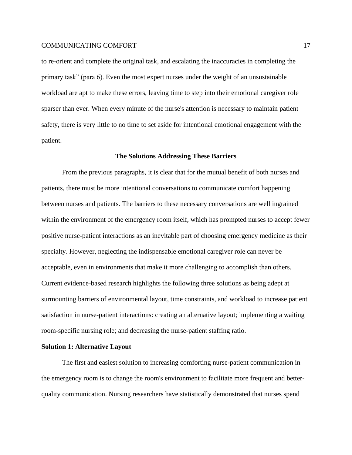to re-orient and complete the original task, and escalating the inaccuracies in completing the primary task" (para 6). Even the most expert nurses under the weight of an unsustainable workload are apt to make these errors, leaving time to step into their emotional caregiver role sparser than ever. When every minute of the nurse's attention is necessary to maintain patient safety, there is very little to no time to set aside for intentional emotional engagement with the patient.

#### **The Solutions Addressing These Barriers**

From the previous paragraphs, it is clear that for the mutual benefit of both nurses and patients, there must be more intentional conversations to communicate comfort happening between nurses and patients. The barriers to these necessary conversations are well ingrained within the environment of the emergency room itself, which has prompted nurses to accept fewer positive nurse-patient interactions as an inevitable part of choosing emergency medicine as their specialty. However, neglecting the indispensable emotional caregiver role can never be acceptable, even in environments that make it more challenging to accomplish than others. Current evidence-based research highlights the following three solutions as being adept at surmounting barriers of environmental layout, time constraints, and workload to increase patient satisfaction in nurse-patient interactions: creating an alternative layout; implementing a waiting room-specific nursing role; and decreasing the nurse-patient staffing ratio.

### **Solution 1: Alternative Layout**

The first and easiest solution to increasing comforting nurse-patient communication in the emergency room is to change the room's environment to facilitate more frequent and betterquality communication. Nursing researchers have statistically demonstrated that nurses spend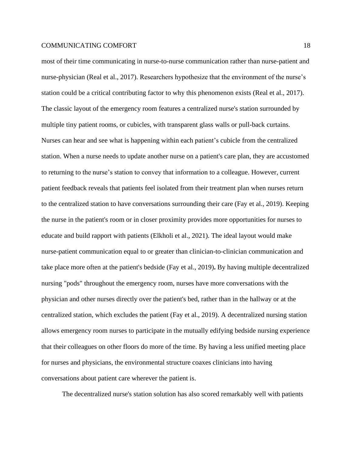most of their time communicating in nurse-to-nurse communication rather than nurse-patient and nurse-physician (Real et al., 2017). Researchers hypothesize that the environment of the nurse's station could be a critical contributing factor to why this phenomenon exists (Real et al., 2017). The classic layout of the emergency room features a centralized nurse's station surrounded by multiple tiny patient rooms, or cubicles, with transparent glass walls or pull-back curtains. Nurses can hear and see what is happening within each patient's cubicle from the centralized station. When a nurse needs to update another nurse on a patient's care plan, they are accustomed to returning to the nurse's station to convey that information to a colleague. However, current patient feedback reveals that patients feel isolated from their treatment plan when nurses return to the centralized station to have conversations surrounding their care (Fay et al., 2019). Keeping the nurse in the patient's room or in closer proximity provides more opportunities for nurses to educate and build rapport with patients (Elkholi et al., 2021). The ideal layout would make nurse-patient communication equal to or greater than clinician-to-clinician communication and take place more often at the patient's bedside (Fay et al., 2019)**.** By having multiple decentralized nursing "pods" throughout the emergency room, nurses have more conversations with the physician and other nurses directly over the patient's bed, rather than in the hallway or at the centralized station, which excludes the patient (Fay et al., 2019). A decentralized nursing station allows emergency room nurses to participate in the mutually edifying bedside nursing experience that their colleagues on other floors do more of the time. By having a less unified meeting place for nurses and physicians, the environmental structure coaxes clinicians into having conversations about patient care wherever the patient is.

The decentralized nurse's station solution has also scored remarkably well with patients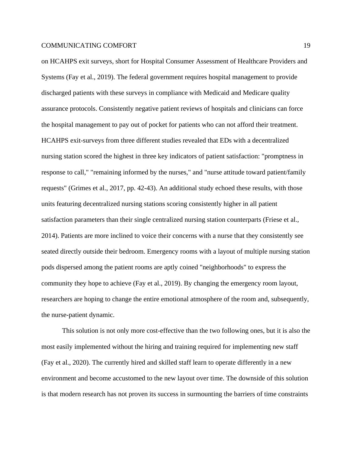on HCAHPS exit surveys, short for Hospital Consumer Assessment of Healthcare Providers and Systems (Fay et al., 2019). The federal government requires hospital management to provide discharged patients with these surveys in compliance with Medicaid and Medicare quality assurance protocols. Consistently negative patient reviews of hospitals and clinicians can force the hospital management to pay out of pocket for patients who can not afford their treatment. HCAHPS exit-surveys from three different studies revealed that EDs with a decentralized nursing station scored the highest in three key indicators of patient satisfaction: "promptness in response to call," "remaining informed by the nurses," and "nurse attitude toward patient/family requests" (Grimes et al., 2017, pp. 42-43). An additional study echoed these results, with those units featuring decentralized nursing stations scoring consistently higher in all patient satisfaction parameters than their single centralized nursing station counterparts (Friese et al., 2014). Patients are more inclined to voice their concerns with a nurse that they consistently see seated directly outside their bedroom. Emergency rooms with a layout of multiple nursing station pods dispersed among the patient rooms are aptly coined "neighborhoods" to express the community they hope to achieve (Fay et al., 2019). By changing the emergency room layout, researchers are hoping to change the entire emotional atmosphere of the room and, subsequently, the nurse-patient dynamic.

This solution is not only more cost-effective than the two following ones, but it is also the most easily implemented without the hiring and training required for implementing new staff (Fay et al., 2020). The currently hired and skilled staff learn to operate differently in a new environment and become accustomed to the new layout over time. The downside of this solution is that modern research has not proven its success in surmounting the barriers of time constraints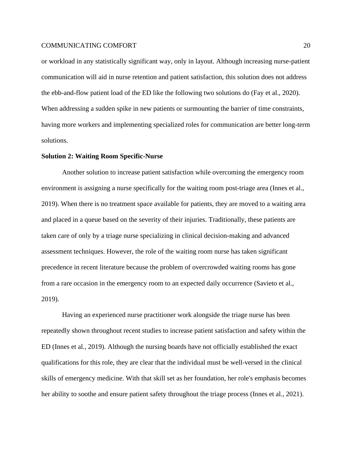or workload in any statistically significant way, only in layout. Although increasing nurse-patient communication will aid in nurse retention and patient satisfaction, this solution does not address the ebb-and-flow patient load of the ED like the following two solutions do (Fay et al., 2020). When addressing a sudden spike in new patients or surmounting the barrier of time constraints, having more workers and implementing specialized roles for communication are better long-term solutions.

# **Solution 2: Waiting Room Specific-Nurse**

Another solution to increase patient satisfaction while overcoming the emergency room environment is assigning a nurse specifically for the waiting room post-triage area (Innes et al., 2019). When there is no treatment space available for patients, they are moved to a waiting area and placed in a queue based on the severity of their injuries. Traditionally, these patients are taken care of only by a triage nurse specializing in clinical decision-making and advanced assessment techniques. However, the role of the waiting room nurse has taken significant precedence in recent literature because the problem of overcrowded waiting rooms has gone from a rare occasion in the emergency room to an expected daily occurrence (Savieto et al., 2019).

Having an experienced nurse practitioner work alongside the triage nurse has been repeatedly shown throughout recent studies to increase patient satisfaction and safety within the ED (Innes et al., 2019). Although the nursing boards have not officially established the exact qualifications for this role, they are clear that the individual must be well-versed in the clinical skills of emergency medicine. With that skill set as her foundation, her role's emphasis becomes her ability to soothe and ensure patient safety throughout the triage process (Innes et al., 2021).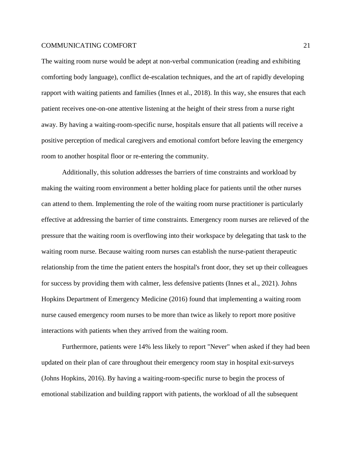The waiting room nurse would be adept at non-verbal communication (reading and exhibiting comforting body language), conflict de-escalation techniques, and the art of rapidly developing rapport with waiting patients and families (Innes et al., 2018). In this way, she ensures that each patient receives one-on-one attentive listening at the height of their stress from a nurse right away. By having a waiting-room-specific nurse, hospitals ensure that all patients will receive a positive perception of medical caregivers and emotional comfort before leaving the emergency room to another hospital floor or re-entering the community.

Additionally, this solution addresses the barriers of time constraints and workload by making the waiting room environment a better holding place for patients until the other nurses can attend to them. Implementing the role of the waiting room nurse practitioner is particularly effective at addressing the barrier of time constraints. Emergency room nurses are relieved of the pressure that the waiting room is overflowing into their workspace by delegating that task to the waiting room nurse. Because waiting room nurses can establish the nurse-patient therapeutic relationship from the time the patient enters the hospital's front door, they set up their colleagues for success by providing them with calmer, less defensive patients (Innes et al., 2021). Johns Hopkins Department of Emergency Medicine (2016) found that implementing a waiting room nurse caused emergency room nurses to be more than twice as likely to report more positive interactions with patients when they arrived from the waiting room.

Furthermore, patients were 14% less likely to report "Never" when asked if they had been updated on their plan of care throughout their emergency room stay in hospital exit-surveys (Johns Hopkins, 2016). By having a waiting-room-specific nurse to begin the process of emotional stabilization and building rapport with patients, the workload of all the subsequent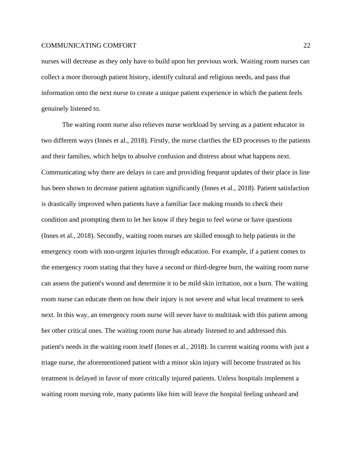nurses will decrease as they only have to build upon her previous work. Waiting room nurses can collect a more thorough patient history, identify cultural and religious needs, and pass that information onto the next nurse to create a unique patient experience in which the patient feels genuinely listened to.

The waiting room nurse also relieves nurse workload by serving as a patient educator in two different ways (Innes et al., 2018). Firstly, the nurse clarifies the ED processes to the patients and their families, which helps to absolve confusion and distress about what happens next. Communicating why there are delays in care and providing frequent updates of their place in line has been shown to decrease patient agitation significantly (Innes et al., 2018). Patient satisfaction is drastically improved when patients have a familiar face making rounds to check their condition and prompting them to let her know if they begin to feel worse or have questions (Innes et al., 2018). Secondly, waiting room nurses are skilled enough to help patients in the emergency room with non-urgent injuries through education. For example, if a patient comes to the emergency room stating that they have a second or third-degree burn, the waiting room nurse can assess the patient's wound and determine it to be mild skin irritation, not a burn. The waiting room nurse can educate them on how their injury is not severe and what local treatment to seek next. In this way, an emergency room nurse will never have to multitask with this patient among her other critical ones. The waiting room nurse has already listened to and addressed this patient's needs in the waiting room itself (Innes et al., 2018). In current waiting rooms with just a triage nurse, the aforementioned patient with a minor skin injury will become frustrated as his treatment is delayed in favor of more critically injured patients. Unless hospitals implement a waiting room nursing role, many patients like him will leave the hospital feeling unheard and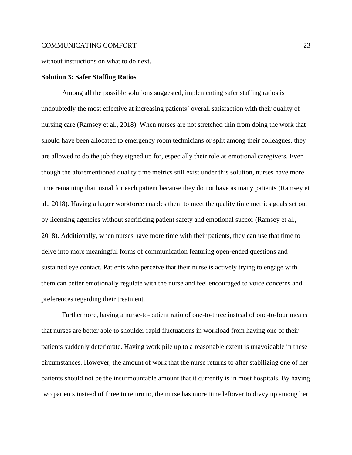without instructions on what to do next.

### **Solution 3: Safer Staffing Ratios**

Among all the possible solutions suggested, implementing safer staffing ratios is undoubtedly the most effective at increasing patients' overall satisfaction with their quality of nursing care (Ramsey et al., 2018). When nurses are not stretched thin from doing the work that should have been allocated to emergency room technicians or split among their colleagues, they are allowed to do the job they signed up for, especially their role as emotional caregivers. Even though the aforementioned quality time metrics still exist under this solution, nurses have more time remaining than usual for each patient because they do not have as many patients (Ramsey et al., 2018). Having a larger workforce enables them to meet the quality time metrics goals set out by licensing agencies without sacrificing patient safety and emotional succor (Ramsey et al., 2018). Additionally, when nurses have more time with their patients, they can use that time to delve into more meaningful forms of communication featuring open-ended questions and sustained eye contact. Patients who perceive that their nurse is actively trying to engage with them can better emotionally regulate with the nurse and feel encouraged to voice concerns and preferences regarding their treatment.

Furthermore, having a nurse-to-patient ratio of one-to-three instead of one-to-four means that nurses are better able to shoulder rapid fluctuations in workload from having one of their patients suddenly deteriorate. Having work pile up to a reasonable extent is unavoidable in these circumstances. However, the amount of work that the nurse returns to after stabilizing one of her patients should not be the insurmountable amount that it currently is in most hospitals. By having two patients instead of three to return to, the nurse has more time leftover to divvy up among her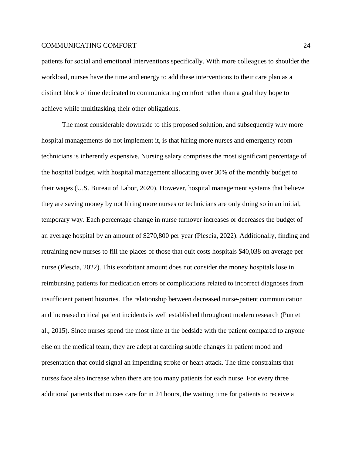patients for social and emotional interventions specifically. With more colleagues to shoulder the workload, nurses have the time and energy to add these interventions to their care plan as a distinct block of time dedicated to communicating comfort rather than a goal they hope to achieve while multitasking their other obligations.

The most considerable downside to this proposed solution, and subsequently why more hospital managements do not implement it, is that hiring more nurses and emergency room technicians is inherently expensive. Nursing salary comprises the most significant percentage of the hospital budget, with hospital management allocating over 30% of the monthly budget to their wages (U.S. Bureau of Labor, 2020). However, hospital management systems that believe they are saving money by not hiring more nurses or technicians are only doing so in an initial, temporary way. Each percentage change in nurse turnover increases or decreases the budget of an average hospital by an amount of \$270,800 per year (Plescia, 2022). Additionally, finding and retraining new nurses to fill the places of those that quit costs hospitals \$40,038 on average per nurse (Plescia, 2022). This exorbitant amount does not consider the money hospitals lose in reimbursing patients for medication errors or complications related to incorrect diagnoses from insufficient patient histories. The relationship between decreased nurse-patient communication and increased critical patient incidents is well established throughout modern research (Pun et al., 2015). Since nurses spend the most time at the bedside with the patient compared to anyone else on the medical team, they are adept at catching subtle changes in patient mood and presentation that could signal an impending stroke or heart attack. The time constraints that nurses face also increase when there are too many patients for each nurse. For every three additional patients that nurses care for in 24 hours, the waiting time for patients to receive a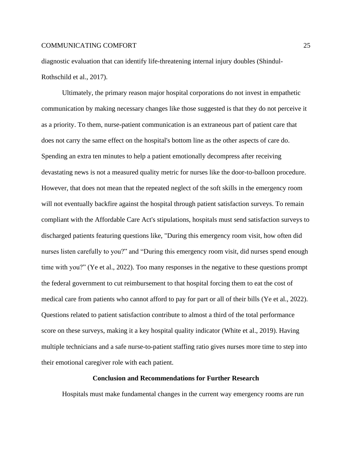diagnostic evaluation that can identify life-threatening internal injury doubles (Shindul-Rothschild et al., 2017).

Ultimately, the primary reason major hospital corporations do not invest in empathetic communication by making necessary changes like those suggested is that they do not perceive it as a priority. To them, nurse-patient communication is an extraneous part of patient care that does not carry the same effect on the hospital's bottom line as the other aspects of care do. Spending an extra ten minutes to help a patient emotionally decompress after receiving devastating news is not a measured quality metric for nurses like the door-to-balloon procedure. However, that does not mean that the repeated neglect of the soft skills in the emergency room will not eventually backfire against the hospital through patient satisfaction surveys. To remain compliant with the Affordable Care Act's stipulations, hospitals must send satisfaction surveys to discharged patients featuring questions like, "During this emergency room visit, how often did nurses listen carefully to you?" and "During this emergency room visit, did nurses spend enough time with you?" (Ye et al., 2022). Too many responses in the negative to these questions prompt the federal government to cut reimbursement to that hospital forcing them to eat the cost of medical care from patients who cannot afford to pay for part or all of their bills (Ye et al., 2022). Questions related to patient satisfaction contribute to almost a third of the total performance score on these surveys, making it a key hospital quality indicator (White et al., 2019). Having multiple technicians and a safe nurse-to-patient staffing ratio gives nurses more time to step into their emotional caregiver role with each patient.

#### **Conclusion and Recommendations for Further Research**

Hospitals must make fundamental changes in the current way emergency rooms are run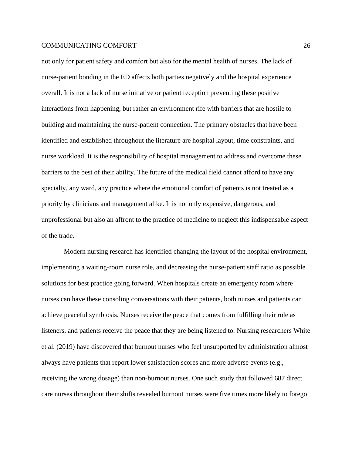not only for patient safety and comfort but also for the mental health of nurses. The lack of nurse-patient bonding in the ED affects both parties negatively and the hospital experience overall. It is not a lack of nurse initiative or patient reception preventing these positive interactions from happening, but rather an environment rife with barriers that are hostile to building and maintaining the nurse-patient connection. The primary obstacles that have been identified and established throughout the literature are hospital layout, time constraints, and nurse workload. It is the responsibility of hospital management to address and overcome these barriers to the best of their ability. The future of the medical field cannot afford to have any specialty, any ward, any practice where the emotional comfort of patients is not treated as a priority by clinicians and management alike. It is not only expensive, dangerous, and unprofessional but also an affront to the practice of medicine to neglect this indispensable aspect of the trade.

Modern nursing research has identified changing the layout of the hospital environment, implementing a waiting-room nurse role, and decreasing the nurse-patient staff ratio as possible solutions for best practice going forward. When hospitals create an emergency room where nurses can have these consoling conversations with their patients, both nurses and patients can achieve peaceful symbiosis. Nurses receive the peace that comes from fulfilling their role as listeners, and patients receive the peace that they are being listened to. Nursing researchers White et al. (2019) have discovered that burnout nurses who feel unsupported by administration almost always have patients that report lower satisfaction scores and more adverse events (e.g., receiving the wrong dosage) than non-burnout nurses. One such study that followed 687 direct care nurses throughout their shifts revealed burnout nurses were five times more likely to forego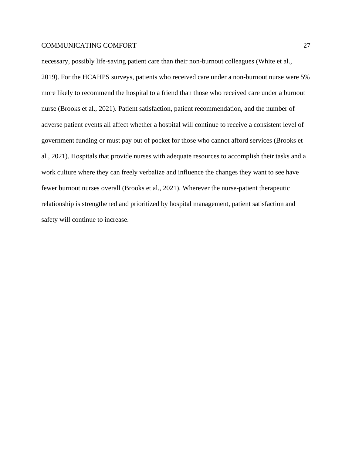necessary, possibly life-saving patient care than their non-burnout colleagues (White et al., 2019). For the HCAHPS surveys, patients who received care under a non-burnout nurse were 5% more likely to recommend the hospital to a friend than those who received care under a burnout nurse (Brooks et al., 2021). Patient satisfaction, patient recommendation, and the number of adverse patient events all affect whether a hospital will continue to receive a consistent level of government funding or must pay out of pocket for those who cannot afford services (Brooks et al., 2021). Hospitals that provide nurses with adequate resources to accomplish their tasks and a work culture where they can freely verbalize and influence the changes they want to see have fewer burnout nurses overall (Brooks et al., 2021). Wherever the nurse-patient therapeutic relationship is strengthened and prioritized by hospital management, patient satisfaction and safety will continue to increase.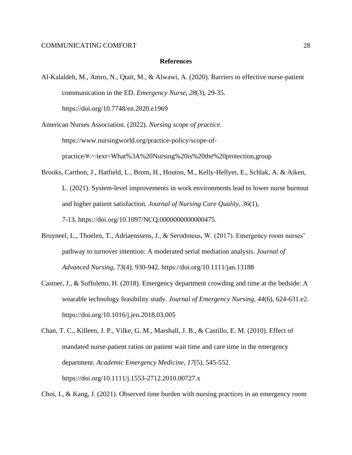#### **References**

Al-Kalaldeh, M., Amro, N., Qtait, M., & Alwawi, A. (2020). Barriers to effective nurse-patient communication in the ED. *Emergency Nurse*, *28*(3), 29-35. https://doi.org/10.7748/en.2020.e1969

American Nurses Association. (2022). *Nursing scope of practice.*

https://www.nursingworld.org/practice-policy/scope-ofpractice/#:~:text=What%3A%20Nursing%20is%20the%20protection,group

- Brooks, Carthon, J., Hatfield, L., Brom, H., Houton, M., Kelly-Hellyer, E., Schlak, A. & Aiken, L. (2021). System-level improvements in work environments lead to lower nurse burnout and higher patient satisfaction. *Journal of Nursing Care Quality, 36*(1), 7-13. https://doi.org/10.1097/NCQ.0000000000000475.
- Bruyneel, L., Thoelen, T., Adriaenssens, J., & Serodmeus, W. (2017). Emergency room nurses' pathway to turnover intention: A moderated serial mediation analysis. *Journal of Advanced Nursing*, *73*(4), 930-942. https://doi.org/10.1111/jan.13188
- Castner, J., & Suffoletto, H. (2018). Emergency department crowding and time at the bedside: A wearable technology feasibility study. *Journal of Emergency Nursing*, *44*(6), 624-631.e2. https://doi.org/10.1016/j.jen.2018.03.005
- Chan, T. C., Killeen, J. P., Vilke, G. M., Marshall, J. B., & Castillo, E. M. (2010). Effect of mandated nurse-patient ratios on patient wait time and care time in the emergency department. *Academic Emergency Medicine*, *17*(5), 545-552. https://doi.org/10.1111/j.1553-2712.2010.00727.x

Choi, I., & Kang, J. (2021). Observed time burden with nursing practices in an emergency room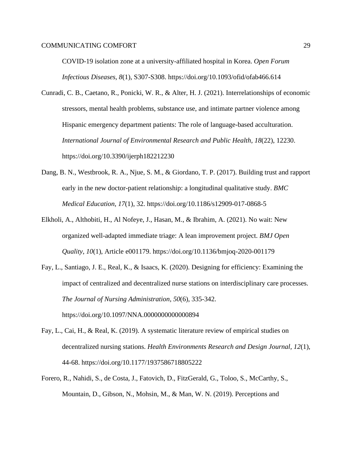COVID-19 isolation zone at a university-affiliated hospital in Korea. *Open Forum Infectious Diseases*, *8*(1), S307-S308. https://doi.org/10.1093/ofid/ofab466.614

- Cunradi, C. B., Caetano, R., Ponicki, W. R., & Alter, H. J. (2021). Interrelationships of economic stressors, mental health problems, substance use, and intimate partner violence among Hispanic emergency department patients: The role of language-based acculturation. *International Journal of Environmental Research and Public Health*, *18*(22), 12230. https://doi.org/10.3390/ijerph182212230
- Dang, B. N., Westbrook, R. A., Njue, S. M., & Giordano, T. P. (2017). Building trust and rapport early in the new doctor-patient relationship: a longitudinal qualitative study. *BMC Medical Education*, *17*(1), 32. https://doi.org/10.1186/s12909-017-0868-5
- Elkholi, A., Althobiti, H., Al Nofeye, J., Hasan, M., & Ibrahim, A. (2021). No wait: New organized well-adapted immediate triage: A lean improvement project. *BMJ Open Quality*, *10*(1), Article e001179. https://doi.org/10.1136/bmjoq-2020-001179
- Fay, L., Santiago, J. E., Real, K., & Isaacs, K. (2020). Designing for efficiency: Examining the impact of centralized and decentralized nurse stations on interdisciplinary care processes. *The Journal of Nursing Administration*, *50*(6), 335-342. https://doi.org/10.1097/NNA.0000000000000894
- Fay, L., Cai, H., & Real, K. (2019). A systematic literature review of empirical studies on decentralized nursing stations. *Health Environments Research and Design Journal, 12*(1), 44-68. https://doi.org/10.1177/1937586718805222
- Forero, R., Nahidi, S., de Costa, J., Fatovich, D., FitzGerald, G., Toloo, S., McCarthy, S., Mountain, D., Gibson, N., Mohsin, M., & Man, W. N. (2019). Perceptions and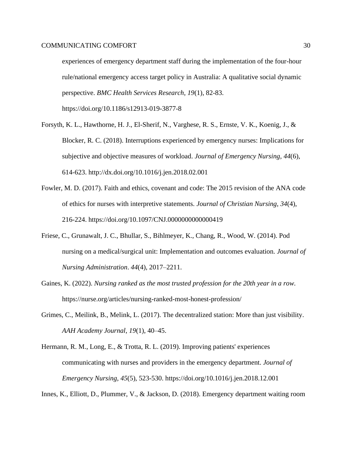experiences of emergency department staff during the implementation of the four-hour rule/national emergency access target policy in Australia: A qualitative social dynamic perspective. *BMC Health Services Research*, *19*(1), 82-83.

https://doi.org/10.1186/s12913-019-3877-8

- Forsyth, K. L., Hawthorne, H. J., El-Sherif, N., Varghese, R. S., Ernste, V. K., Koenig, J., & Blocker, R. C. (2018). Interruptions experienced by emergency nurses: Implications for subjective and objective measures of workload. *Journal of Emergency Nursing, 44*(6), 614-623. http://dx.doi.org/10.1016/j.jen.2018.02.001
- Fowler, M. D. (2017). Faith and ethics, covenant and code: The 2015 revision of the ANA code of ethics for nurses with interpretive statements. *Journal of Christian Nursing*, *34*(4), 216-224. https://doi.org/10.1097/CNJ.0000000000000419
- Friese, C., Grunawalt, J. C., Bhullar, S., Bihlmeyer, K., Chang, R., Wood, W. (2014). Pod nursing on a medical/surgical unit: Implementation and outcomes evaluation. *Journal of Nursing Administration*. *44*(4), 2017–2211.
- Gaines, K. (2022). *Nursing ranked as the most trusted profession for the 20th year in a row.* https://nurse.org/articles/nursing-ranked-most-honest-profession/
- Grimes, C., Meilink, B., Melink, L. (2017). The decentralized station: More than just visibility. *AAH Academy Journal*, *19*(1), 40–45.
- Hermann, R. M., Long, E., & Trotta, R. L. (2019). Improving patients' experiences communicating with nurses and providers in the emergency department. *Journal of Emergency Nursing*, *45*(5), 523-530. https://doi.org/10.1016/j.jen.2018.12.001

Innes, K., Elliott, D., Plummer, V., & Jackson, D. (2018). Emergency department waiting room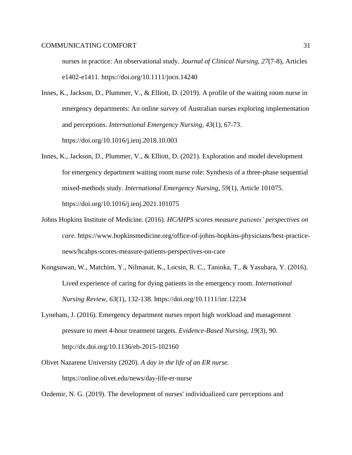nurses in practice: An observational study. *Journal of Clinical Nursing*, *27*(7-8), Articles e1402-e1411. https://doi.org/10.1111/jocn.14240

- Innes, K., Jackson, D., Plummer, V., & Elliott, D. (2019). A profile of the waiting room nurse in emergency departments: An online survey of Australian nurses exploring implementation and perceptions. *International Emergency Nursing*, *43*(1), 67-73. https://doi.org/10.1016/j.ienj.2018.10.003
- Innes, K., Jackson, D., Plummer, V., & Elliott, D. (2021). Exploration and model development for emergency department waiting room nurse role: Synthesis of a three-phase sequential mixed-methods study. *International Emergency Nursing*, *59*(1), Article 101075. https://doi.org/10.1016/j.ienj.2021.101075
- Johns Hopkins Institute of Medicine. (2016). *HCAHPS scores measure patients' perspectives on care*. https://www.hopkinsmedicine.org/office-of-johns-hopkins-physicians/best-practicenews/hcahps-scores-measure-patients-perspectives-on-care
- Kongsuwan, W., Matchim, Y., Nilmanat, K., Locsin, R. C., Tanioka, T., & Yasuhara, Y. (2016). Lived experience of caring for dying patients in the emergency room. *International Nursing Review*, *63*(1), 132-138. https://doi.org/10.1111/inr.12234
- Lyneham, J. (2016). Emergency department nurses report high workload and management pressure to meet 4-hour treatment targets. *Evidence-Based Nursing, 19*(3), 90. http://dx.doi.org/10.1136/eb-2015-102160
- Olivet Nazarene University (2020). *A day in the life of an ER nurse.* https://online.olivet.edu/news/day-life-er-nurse

Ozdemir, N. G. (2019). The development of nurses' individualized care perceptions and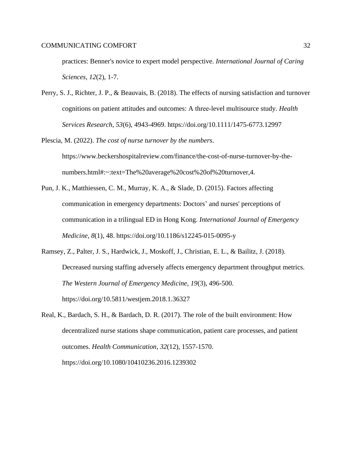practices: Benner's novice to expert model perspective. *International Journal of Caring Sciences*, *12*(2), 1-7.

- Perry, S. J., Richter, J. P., & Beauvais, B. (2018). The effects of nursing satisfaction and turnover cognitions on patient attitudes and outcomes: A three‐level multisource study. *Health Services Research*, *53*(6), 4943-4969. https://doi.org/10.1111/1475-6773.12997
- Plescia, M. (2022). *The cost of nurse turnover by the numbers*. https://www.beckershospitalreview.com/finance/the-cost-of-nurse-turnover-by-thenumbers.html#:~:text=The%20average%20cost%20of%20turnover,4.
- Pun, J. K., Matthiessen, C. M., Murray, K. A., & Slade, D. (2015). Factors affecting communication in emergency departments: Doctors' and nurses' perceptions of communication in a trilingual ED in Hong Kong. *International Journal of Emergency Medicine*, *8*(1), 48. https://doi.org/10.1186/s12245-015-0095-y
- Ramsey, Z., Palter, J. S., Hardwick, J., Moskoff, J., Christian, E. L., & Bailitz, J. (2018). Decreased nursing staffing adversely affects emergency department throughput metrics. *The Western Journal of Emergency Medicine*, *19*(3), 496-500. https://doi.org/10.5811/westjem.2018.1.36327
- Real, K., Bardach, S. H., & Bardach, D. R. (2017). The role of the built environment: How decentralized nurse stations shape communication, patient care processes, and patient outcomes. *Health Communication*, *32*(12), 1557-1570. https://doi.org/10.1080/10410236.2016.1239302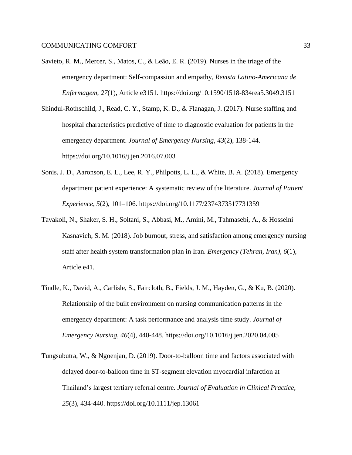- Savieto, R. M., Mercer, S., Matos, C., & Leão, E. R. (2019). Nurses in the triage of the emergency department: Self-compassion and empathy, *Revista Latino-Americana de Enfermagem, 27*(1), Article e3151. https://doi.org/10.1590/1518-834rea5.3049.3151
- Shindul-Rothschild, J., Read, C. Y., Stamp, K. D., & Flanagan, J. (2017). Nurse staffing and hospital characteristics predictive of time to diagnostic evaluation for patients in the emergency department. *Journal of Emergency Nursing*, *43*(2), 138-144. https://doi.org/10.1016/j.jen.2016.07.003
- Sonis, J. D., Aaronson, E. L., Lee, R. Y., Philpotts, L. L., & White, B. A. (2018). Emergency department patient experience: A systematic review of the literature. *Journal of Patient Experience*, *5*(2), 101–106. https://doi.org/10.1177/2374373517731359
- Tavakoli, N., Shaker, S. H., Soltani, S., Abbasi, M., Amini, M., Tahmasebi, A., & Hosseini Kasnavieh, S. M. (2018). Job burnout, stress, and satisfaction among emergency nursing staff after health system transformation plan in Iran. *Emergency (Tehran, Iran)*, *6*(1), Article e41.
- Tindle, K., David, A., Carlisle, S., Faircloth, B., Fields, J. M., Hayden, G., & Ku, B. (2020). Relationship of the built environment on nursing communication patterns in the emergency department: A task performance and analysis time study. *Journal of Emergency Nursing*, *46*(4), 440-448. https://doi.org/10.1016/j.jen.2020.04.005
- Tungsubutra, W., & Ngoenjan, D. (2019). Door-to-balloon time and factors associated with delayed door-to-balloon time in ST-segment elevation myocardial infarction at Thailand's largest tertiary referral centre. *Journal of Evaluation in Clinical Practice*, *25*(3), 434-440. https://doi.org/10.1111/jep.13061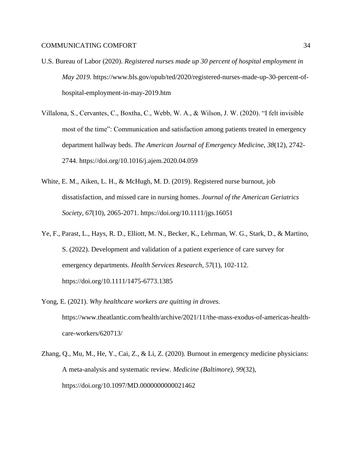- U.S. Bureau of Labor (2020). *Registered nurses made up 30 percent of hospital employment in May 2019.* https://www.bls.gov/opub/ted/2020/registered-nurses-made-up-30-percent-ofhospital-employment-in-may-2019.htm
- Villalona, S., Cervantes, C., Boxtha, C., Webb, W. A., & Wilson, J. W. (2020). "I felt invisible most of the time": Communication and satisfaction among patients treated in emergency department hallway beds. *The American Journal of Emergency Medicine*, *38*(12), 2742- 2744. https://doi.org/10.1016/j.ajem.2020.04.059
- White, E. M., Aiken, L. H., & McHugh, M. D. (2019). Registered nurse burnout, job dissatisfaction, and missed care in nursing homes. *Journal of the American Geriatrics Society*, *67*(10), 2065-2071. https://doi.org/10.1111/jgs.16051
- Ye, F., Parast, L., Hays, R. D., Elliott, M. N., Becker, K., Lehrman, W. G., Stark, D., & Martino, S. (2022). Development and validation of a patient experience of care survey for emergency departments. *Health Services Research*, *57*(1), 102-112. https://doi.org/10.1111/1475-6773.1385
- Yong, E. (2021). *Why healthcare workers are quitting in droves.* https://www.theatlantic.com/health/archive/2021/11/the-mass-exodus-of-americas-healthcare-workers/620713/
- Zhang, Q., Mu, M., He, Y., Cai, Z., & Li, Z. (2020). Burnout in emergency medicine physicians: A meta-analysis and systematic review. *Medicine (Baltimore)*, *99*(32), https://doi.org/10.1097/MD.0000000000021462